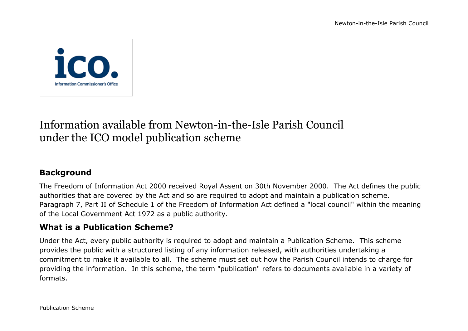

# Information available from Newton-in-the-Isle Parish Council under the ICO model publication scheme

# **Background**

The Freedom of Information Act 2000 received Royal Assent on 30th November 2000. The Act defines the public authorities that are covered by the Act and so are required to adopt and maintain a publication scheme. Paragraph 7, Part II of Schedule 1 of the Freedom of Information Act defined a "local council" within the meaning of the Local Government Act 1972 as a public authority.

## **What is a Publication Scheme?**

Under the Act, every public authority is required to adopt and maintain a Publication Scheme. This scheme provides the public with a structured listing of any information released, with authorities undertaking a commitment to make it available to all. The scheme must set out how the Parish Council intends to charge for providing the information. In this scheme, the term "publication" refers to documents available in a variety of formats.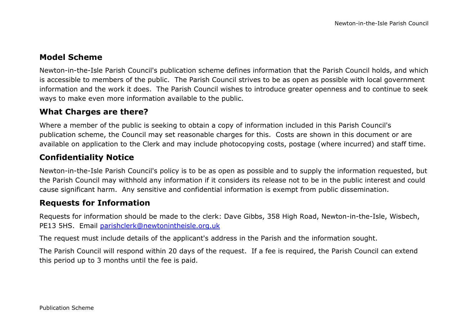## **Model Scheme**

Newton-in-the-Isle Parish Council's publication scheme defines information that the Parish Council holds, and which is accessible to members of the public. The Parish Council strives to be as open as possible with local government information and the work it does. The Parish Council wishes to introduce greater openness and to continue to seek ways to make even more information available to the public.

#### **What Charges are there?**

Where a member of the public is seeking to obtain a copy of information included in this Parish Council's publication scheme, the Council may set reasonable charges for this. Costs are shown in this document or are available on application to the Clerk and may include photocopying costs, postage (where incurred) and staff time.

## **Confidentiality Notice**

Newton-in-the-Isle Parish Council's policy is to be as open as possible and to supply the information requested, but the Parish Council may withhold any information if it considers its release not to be in the public interest and could cause significant harm. Any sensitive and confidential information is exempt from public dissemination.

#### **Requests for Information**

Requests for information should be made to the clerk: Dave Gibbs, 358 High Road, Newton-in-the-Isle, Wisbech, PE13 5HS. Email [parishclerk@newtonintheisle.org.uk](mailto:parishclerk@newtonintheisle.org.uk)

The request must include details of the applicant's address in the Parish and the information sought.

The Parish Council will respond within 20 days of the request. If a fee is required, the Parish Council can extend this period up to 3 months until the fee is paid.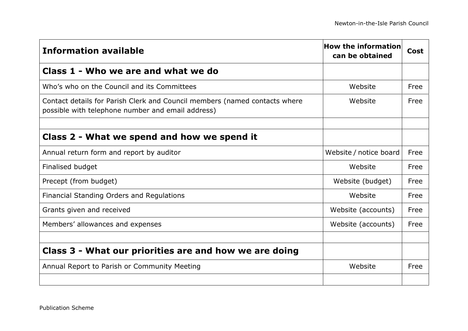| <b>Information available</b>                                                                                                    | How the information<br>can be obtained | Cost |
|---------------------------------------------------------------------------------------------------------------------------------|----------------------------------------|------|
| Class 1 - Who we are and what we do                                                                                             |                                        |      |
| Who's who on the Council and its Committees                                                                                     | Website                                | Free |
| Contact details for Parish Clerk and Council members (named contacts where<br>possible with telephone number and email address) | Website                                | Free |
|                                                                                                                                 |                                        |      |
| Class 2 - What we spend and how we spend it                                                                                     |                                        |      |
| Annual return form and report by auditor                                                                                        | Website / notice board                 | Free |
| Finalised budget                                                                                                                | Website                                | Free |
| Precept (from budget)                                                                                                           | Website (budget)                       | Free |
| Financial Standing Orders and Regulations                                                                                       | Website                                | Free |
| Grants given and received                                                                                                       | Website (accounts)                     | Free |
| Members' allowances and expenses                                                                                                | Website (accounts)                     | Free |
|                                                                                                                                 |                                        |      |
| Class 3 - What our priorities are and how we are doing                                                                          |                                        |      |
| Annual Report to Parish or Community Meeting                                                                                    | Website                                | Free |
|                                                                                                                                 |                                        |      |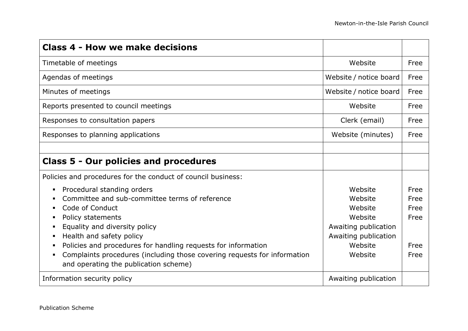| <b>Class 4 - How we make decisions</b>                                                                                                                                                                                                                                                                                                                                                  |                                                                                                                |                                              |
|-----------------------------------------------------------------------------------------------------------------------------------------------------------------------------------------------------------------------------------------------------------------------------------------------------------------------------------------------------------------------------------------|----------------------------------------------------------------------------------------------------------------|----------------------------------------------|
| Timetable of meetings                                                                                                                                                                                                                                                                                                                                                                   | Website                                                                                                        | Free                                         |
| Agendas of meetings                                                                                                                                                                                                                                                                                                                                                                     | Website / notice board                                                                                         | Free                                         |
| Minutes of meetings                                                                                                                                                                                                                                                                                                                                                                     | Website / notice board                                                                                         | Free                                         |
| Reports presented to council meetings                                                                                                                                                                                                                                                                                                                                                   | Website                                                                                                        | Free                                         |
| Responses to consultation papers                                                                                                                                                                                                                                                                                                                                                        | Clerk (email)                                                                                                  | Free                                         |
| Responses to planning applications                                                                                                                                                                                                                                                                                                                                                      | Website (minutes)                                                                                              | Free                                         |
|                                                                                                                                                                                                                                                                                                                                                                                         |                                                                                                                |                                              |
| <b>Class 5 - Our policies and procedures</b>                                                                                                                                                                                                                                                                                                                                            |                                                                                                                |                                              |
| Policies and procedures for the conduct of council business:                                                                                                                                                                                                                                                                                                                            |                                                                                                                |                                              |
| Procedural standing orders<br>٠.<br>Committee and sub-committee terms of reference<br>Code of Conduct<br>Policy statements<br>Equality and diversity policy<br>ш<br>Health and safety policy<br>Policies and procedures for handling requests for information<br>Complaints procedures (including those covering requests for information<br>ш<br>and operating the publication scheme) | Website<br>Website<br>Website<br>Website<br>Awaiting publication<br>Awaiting publication<br>Website<br>Website | Free<br>Free<br>Free<br>Free<br>Free<br>Free |
| Information security policy                                                                                                                                                                                                                                                                                                                                                             | Awaiting publication                                                                                           |                                              |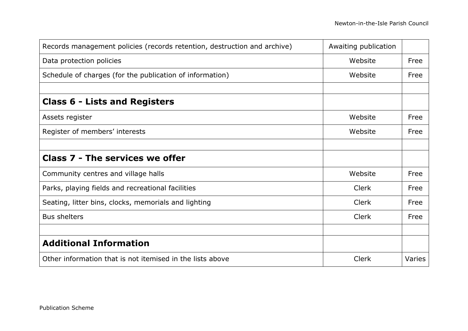| Records management policies (records retention, destruction and archive) | Awaiting publication |        |
|--------------------------------------------------------------------------|----------------------|--------|
| Data protection policies                                                 | Website              | Free   |
| Schedule of charges (for the publication of information)                 | Website              | Free   |
|                                                                          |                      |        |
| <b>Class 6 - Lists and Registers</b>                                     |                      |        |
| Assets register                                                          | Website              | Free   |
| Register of members' interests                                           | Website              | Free   |
|                                                                          |                      |        |
| <b>Class 7 - The services we offer</b>                                   |                      |        |
| Community centres and village halls                                      | Website              | Free   |
| Parks, playing fields and recreational facilities                        | Clerk                | Free   |
| Seating, litter bins, clocks, memorials and lighting                     | Clerk                | Free   |
| <b>Bus shelters</b>                                                      | Clerk                | Free   |
|                                                                          |                      |        |
| <b>Additional Information</b>                                            |                      |        |
| Other information that is not itemised in the lists above                | Clerk                | Varies |